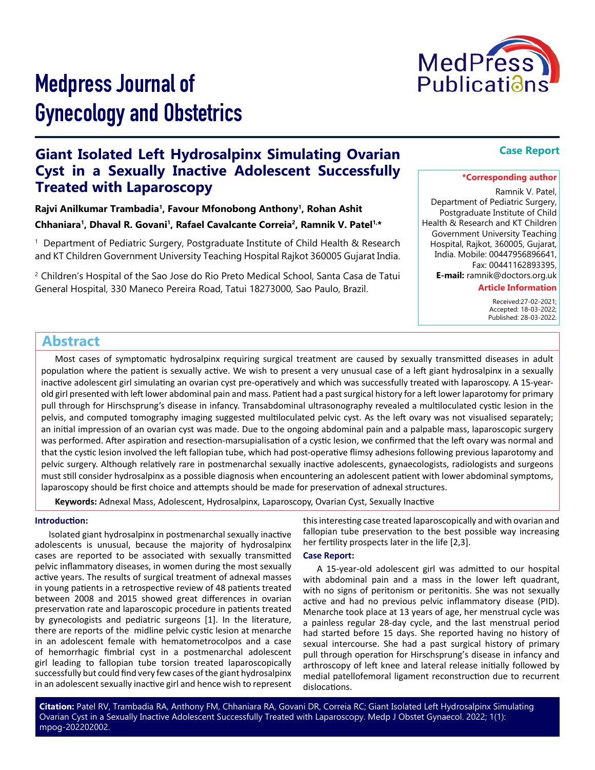

# Medpress Journal of Gynecology and Obstetrics

# **Giant Isolated Left Hydrosalpinx Simulating Ovarian Cyst in a Sexually Inactive Adolescent Successfully Treated with Laparoscopy**

**Rajvi Anilkumar Trambadia1, Favour Mfonobong Anthony1, Rohan Ashit Chhaniara1, Dhaval R. Govani1, Rafael Cavalcante Correia2, Ramnik V. Patel1,\***

1 Department of Pediatric Surgery, Postgraduate Institute of Child Health & Research and KT Children Government University Teaching Hospital Rajkot 360005 Gujarat India.

2 Children's Hospital of the Sao Jose do Rio Preto Medical School, Santa Casa de Tatui General Hospital, 330 Maneco Pereira Road, Tatui 18273000, Sao Paulo, Brazil.

### **Case Report**

#### **\*Corresponding author**

Ramnik V. Patel,

Department of Pediatric Surgery, Postgraduate Institute of Child Health & Research and KT Children Government University Teaching Hospital, Rajkot, 360005, Gujarat, India. Mobile: 00447956896641, Fax: 00441162893395, **E-mail:** ramnik@doctors.org.uk

**Article Information**

 Received:27-02-2021; Accepted: 18-03-2022; Published: 28-03-2022.

## **Abstract**

Most cases of symptomatic hydrosalpinx requiring surgical treatment are caused by sexually transmitted diseases in adult population where the patient is sexually active. We wish to present a very unusual case of a left giant hydrosalpinx in a sexually inactive adolescent girl simulating an ovarian cyst pre-operatively and which was successfully treated with laparoscopy. A 15-yearold girl presented with left lower abdominal pain and mass. Patient had a past surgical history for a left lower laparotomy for primary pull through for Hirschsprung's disease in infancy. Transabdominal ultrasonography revealed a multiloculated cystic lesion in the pelvis, and computed tomography imaging suggested multiloculated pelvic cyst. As the left ovary was not visualised separately; an initial impression of an ovarian cyst was made. Due to the ongoing abdominal pain and a palpable mass, laparoscopic surgery was performed. After aspiration and resection-marsupialisation of a cystic lesion, we confirmed that the left ovary was normal and that the cystic lesion involved the left fallopian tube, which had post-operative flimsy adhesions following previous laparotomy and pelvic surgery. Although relatively rare in postmenarchal sexually inactive adolescents, gynaecologists, radiologists and surgeons must still consider hydrosalpinx as a possible diagnosis when encountering an adolescent patient with lower abdominal symptoms, laparoscopy should be first choice and attempts should be made for preservation of adnexal structures.

**Keywords:** Adnexal Mass, Adolescent, Hydrosalpinx, Laparoscopy, Ovarian Cyst, Sexually Inactive

#### **Introduction:**

Isolated giant hydrosalpinx in postmenarchal sexually inactive adolescents is unusual, because the majority of hydrosalpinx cases are reported to be associated with sexually transmitted pelvic inflammatory diseases, in women during the most sexually active years. The results of surgical treatment of adnexal masses in young patients in a retrospective review of 48 patients treated between 2008 and 2015 showed great differences in ovarian preservation rate and laparoscopic procedure in patients treated by gynecologists and pediatric surgeons [1]. In the literature, there are reports of the midline pelvic cystic lesion at menarche in an adolescent female with hematometrocolpos and a case of hemorrhagic fimbrial cyst in a postmenarchal adolescent girl leading to fallopian tube torsion treated laparoscopically successfully but could find very few cases of the giant hydrosalpinx in an adolescent sexually inactive girl and hence wish to represent

this interesting case treated laparoscopically and with ovarian and fallopian tube preservation to the best possible way increasing her fertility prospects later in the life [2,3].

#### **Case Report:**

A 15-year-old adolescent girl was admitted to our hospital with abdominal pain and a mass in the lower left quadrant, with no signs of peritonism or peritonitis. She was not sexually active and had no previous pelvic inflammatory disease (PID). Menarche took place at 13 years of age, her menstrual cycle was a painless regular 28-day cycle, and the last menstrual period had started before 15 days. She reported having no history of sexual intercourse. She had a past surgical history of primary pull through operation for Hirschsprung's disease in infancy and arthroscopy of left knee and lateral release initially followed by medial patellofemoral ligament reconstruction due to recurrent dislocations.

**Citation:** Patel RV, Trambadia RA, Anthony FM, Chhaniara RA, Govani DR, Correia RC; Giant Isolated Left Hydrosalpinx Simulating Ovarian Cyst in a Sexually Inactive Adolescent Successfully Treated with Laparoscopy. Medp J Obstet Gynaecol. 2022; 1(1): mpog-202202002.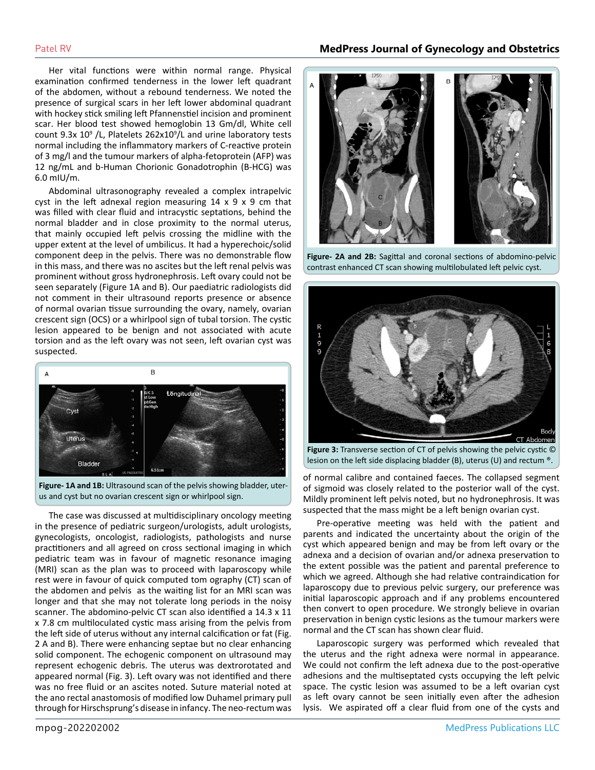Her vital functions were within normal range. Physical examination confirmed tenderness in the lower left quadrant of the abdomen, without a rebound tenderness. We noted the presence of surgical scars in her left lower abdominal quadrant with hockey stick smiling left Pfannenstiel incision and prominent scar. Her blood test showed hemoglobin 13 Gm/dl, White cell count  $9.3x$   $10<sup>9</sup>$  /L, Platelets  $262x10<sup>9</sup>/L$  and urine laboratory tests normal including the inflammatory markers of C-reactive protein of 3 mg/l and the tumour markers of alpha-fetoprotein (AFP) was 12 ng/mL and b-Human Chorionic Gonadotrophin (B-HCG) was 6.0 mIU/m.

Abdominal ultrasonography revealed a complex intrapelvic cyst in the left adnexal region measuring 14 x 9 x 9 cm that was filled with clear fluid and intracystic septations, behind the normal bladder and in close proximity to the normal uterus, that mainly occupied left pelvis crossing the midline with the upper extent at the level of umbilicus. It had a hyperechoic/solid component deep in the pelvis. There was no demonstrable flow in this mass, and there was no ascites but the left renal pelvis was prominent without gross hydronephrosis. Left ovary could not be seen separately (Figure 1A and B). Our paediatric radiologists did not comment in their ultrasound reports presence or absence of normal ovarian tissue surrounding the ovary, namely, ovarian crescent sign (OCS) or a whirlpool sign of tubal torsion. The cystic lesion appeared to be benign and not associated with acute torsion and as the left ovary was not seen, left ovarian cyst was suspected.



**Figure- 1A and 1B:** Ultrasound scan of the pelvis showing bladder, uterus and cyst but no ovarian crescent sign or whirlpool sign.

The case was discussed at multidisciplinary oncology meeting in the presence of pediatric surgeon/urologists, adult urologists, gynecologists, oncologist, radiologists, pathologists and nurse practitioners and all agreed on cross sectional imaging in which pediatric team was in favour of magnetic resonance imaging (MRI) scan as the plan was to proceed with laparoscopy while rest were in favour of quick computed tom ography (CT) scan of the abdomen and pelvis as the waiting list for an MRI scan was longer and that she may not tolerate long periods in the noisy scanner. The abdomino-pelvic CT scan also identified a 14.3 x 11 x 7.8 cm multiloculated cystic mass arising from the pelvis from the left side of uterus without any internal calcification or fat (Fig. 2 A and B). There were enhancing septae but no clear enhancing solid component. The echogenic component on ultrasound may represent echogenic debris. The uterus was dextrorotated and appeared normal (Fig. 3). Left ovary was not identified and there was no free fluid or an ascites noted. Suture material noted at the ano rectal anastomosis of modified low Duhamel primary pull through for Hirschsprung's disease in infancy. The neo-rectum was



**Figure- 2A and 2B:** Sagittal and coronal sections of abdomino-pelvic contrast enhanced CT scan showing multilobulated left pelvic cyst.



**Figure 3:** Transverse section of CT of pelvis showing the pelvic cystic © lesion on the left side displacing bladder (B), uterus (U) and rectum ®.

of normal calibre and contained faeces. The collapsed segment of sigmoid was closely related to the posterior wall of the cyst. Mildly prominent left pelvis noted, but no hydronephrosis. It was suspected that the mass might be a left benign ovarian cyst.

Pre-operative meeting was held with the patient and parents and indicated the uncertainty about the origin of the cyst which appeared benign and may be from left ovary or the adnexa and a decision of ovarian and/or adnexa preservation to the extent possible was the patient and parental preference to which we agreed. Although she had relative contraindication for laparoscopy due to previous pelvic surgery, our preference was initial laparoscopic approach and if any problems encountered then convert to open procedure. We strongly believe in ovarian preservation in benign cystic lesions as the tumour markers were normal and the CT scan has shown clear fluid.

Laparoscopic surgery was performed which revealed that the uterus and the right adnexa were normal in appearance. We could not confirm the left adnexa due to the post-operative adhesions and the multiseptated cysts occupying the left pelvic space. The cystic lesion was assumed to be a left ovarian cyst as left ovary cannot be seen initially even after the adhesion lysis. We aspirated off a clear fluid from one of the cysts and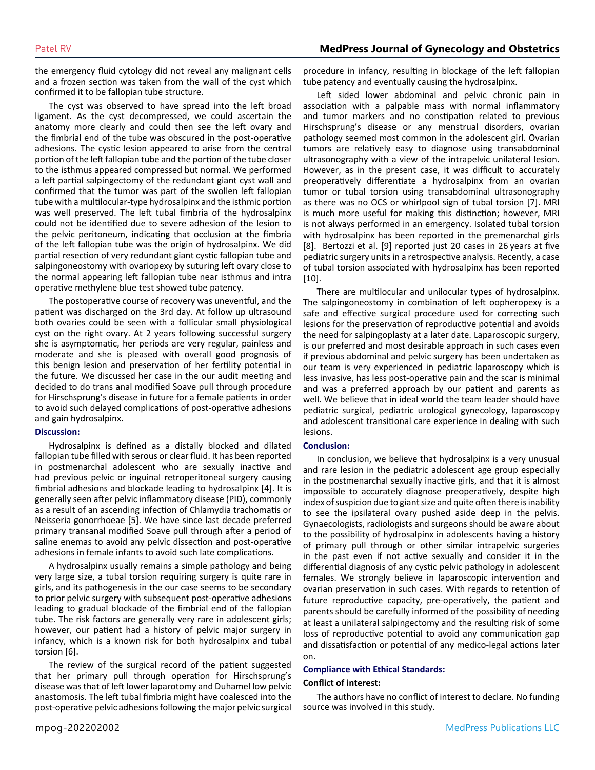the emergency fluid cytology did not reveal any malignant cells and a frozen section was taken from the wall of the cyst which confirmed it to be fallopian tube structure.

The cyst was observed to have spread into the left broad ligament. As the cyst decompressed, we could ascertain the anatomy more clearly and could then see the left ovary and the fimbrial end of the tube was obscured in the post-operative adhesions. The cystic lesion appeared to arise from the central portion of the left fallopian tube and the portion of the tube closer to the isthmus appeared compressed but normal. We performed a left partial salpingectomy of the redundant giant cyst wall and confirmed that the tumor was part of the swollen left fallopian tube with a multilocular-type hydrosalpinx and the isthmic portion was well preserved. The left tubal fimbria of the hydrosalpinx could not be identified due to severe adhesion of the lesion to the pelvic peritoneum, indicating that occlusion at the fimbria of the left fallopian tube was the origin of hydrosalpinx. We did partial resection of very redundant giant cystic fallopian tube and salpingoneostomy with ovariopexy by suturing left ovary close to the normal appearing left fallopian tube near isthmus and intra operative methylene blue test showed tube patency.

The postoperative course of recovery was uneventful, and the patient was discharged on the 3rd day. At follow up ultrasound both ovaries could be seen with a follicular small physiological cyst on the right ovary. At 2 years following successful surgery she is asymptomatic, her periods are very regular, painless and moderate and she is pleased with overall good prognosis of this benign lesion and preservation of her fertility potential in the future. We discussed her case in the our audit meeting and decided to do trans anal modified Soave pull through procedure for Hirschsprung's disease in future for a female patients in order to avoid such delayed complications of post-operative adhesions and gain hydrosalpinx.

#### **Discussion:**

Hydrosalpinx is defined as a distally blocked and dilated fallopian tube filled with serous or clear fluid. It has been reported in postmenarchal adolescent who are sexually inactive and had previous pelvic or inguinal retroperitoneal surgery causing fimbrial adhesions and blockade leading to hydrosalpinx [4]. It is generally seen after pelvic inflammatory disease (PID), commonly as a result of an ascending infection of Chlamydia trachomatis or Neisseria gonorrhoeae [5]. We have since last decade preferred primary transanal modified Soave pull through after a period of saline enemas to avoid any pelvic dissection and post-operative adhesions in female infants to avoid such late complications.

A hydrosalpinx usually remains a simple pathology and being very large size, a tubal torsion requiring surgery is quite rare in girls, and its pathogenesis in the our case seems to be secondary to prior pelvic surgery with subsequent post-operative adhesions leading to gradual blockade of the fimbrial end of the fallopian tube. The risk factors are generally very rare in adolescent girls; however, our patient had a history of pelvic major surgery in infancy, which is a known risk for both hydrosalpinx and tubal torsion [6].

The review of the surgical record of the patient suggested that her primary pull through operation for Hirschsprung's disease was that of left lower laparotomy and Duhamel low pelvic anastomosis. The left tubal fimbria might have coalesced into the post-operative pelvic adhesions following the major pelvic surgical

procedure in infancy, resulting in blockage of the left fallopian tube patency and eventually causing the hydrosalpinx.

Left sided lower abdominal and pelvic chronic pain in association with a palpable mass with normal inflammatory and tumor markers and no constipation related to previous Hirschsprung's disease or any menstrual disorders, ovarian pathology seemed most common in the adolescent girl. Ovarian tumors are relatively easy to diagnose using transabdominal ultrasonography with a view of the intrapelvic unilateral lesion. However, as in the present case, it was difficult to accurately preoperatively differentiate a hydrosalpinx from an ovarian tumor or tubal torsion using transabdominal ultrasonography as there was no OCS or whirlpool sign of tubal torsion [7]. MRI is much more useful for making this distinction; however, MRI is not always performed in an emergency. Isolated tubal torsion with hydrosalpinx has been reported in the premenarchal girls [8]. Bertozzi et al. [9] reported just 20 cases in 26 years at five pediatric surgery units in a retrospective analysis. Recently, a case of tubal torsion associated with hydrosalpinx has been reported [10].

There are multilocular and unilocular types of hydrosalpinx. The salpingoneostomy in combination of left oopheropexy is a safe and effective surgical procedure used for correcting such lesions for the preservation of reproductive potential and avoids the need for salpingoplasty at a later date. Laparoscopic surgery, is our preferred and most desirable approach in such cases even if previous abdominal and pelvic surgery has been undertaken as our team is very experienced in pediatric laparoscopy which is less invasive, has less post-operative pain and the scar is minimal and was a preferred approach by our patient and parents as well. We believe that in ideal world the team leader should have pediatric surgical, pediatric urological gynecology, laparoscopy and adolescent transitional care experience in dealing with such lesions.

#### **Conclusion:**

In conclusion, we believe that hydrosalpinx is a very unusual and rare lesion in the pediatric adolescent age group especially in the postmenarchal sexually inactive girls, and that it is almost impossible to accurately diagnose preoperatively, despite high index of suspicion due to giant size and quite often there is inability to see the ipsilateral ovary pushed aside deep in the pelvis. Gynaecologists, radiologists and surgeons should be aware about to the possibility of hydrosalpinx in adolescents having a history of primary pull through or other similar intrapelvic surgeries in the past even if not active sexually and consider it in the differential diagnosis of any cystic pelvic pathology in adolescent females. We strongly believe in laparoscopic intervention and ovarian preservation in such cases. With regards to retention of future reproductive capacity, pre-operatively, the patient and parents should be carefully informed of the possibility of needing at least a unilateral salpingectomy and the resulting risk of some loss of reproductive potential to avoid any communication gap and dissatisfaction or potential of any medico-legal actions later on.

#### **Compliance with Ethical Standards:**

#### **Conflict of interest:**

The authors have no conflict of interest to declare. No funding source was involved in this study.